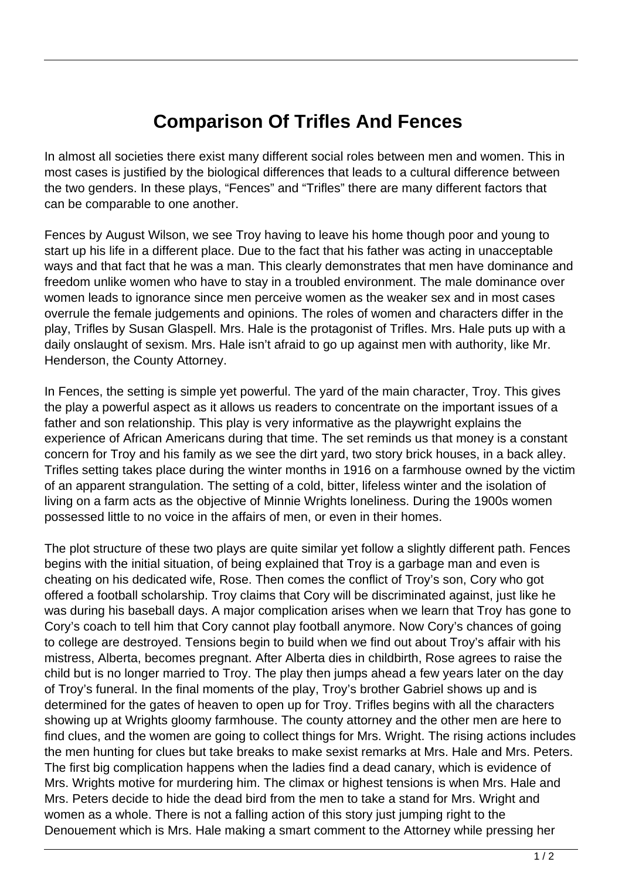## **Comparison Of Trifles And Fences**

In almost all societies there exist many different social roles between men and women. This in most cases is justified by the biological differences that leads to a cultural difference between the two genders. In these plays, "Fences" and "Trifles" there are many different factors that can be comparable to one another.

Fences by August Wilson, we see Troy having to leave his home though poor and young to start up his life in a different place. Due to the fact that his father was acting in unacceptable ways and that fact that he was a man. This clearly demonstrates that men have dominance and freedom unlike women who have to stay in a troubled environment. The male dominance over women leads to ignorance since men perceive women as the weaker sex and in most cases overrule the female judgements and opinions. The roles of women and characters differ in the play, Trifles by Susan Glaspell. Mrs. Hale is the protagonist of Trifles. Mrs. Hale puts up with a daily onslaught of sexism. Mrs. Hale isn't afraid to go up against men with authority, like Mr. Henderson, the County Attorney.

In Fences, the setting is simple yet powerful. The yard of the main character, Troy. This gives the play a powerful aspect as it allows us readers to concentrate on the important issues of a father and son relationship. This play is very informative as the playwright explains the experience of African Americans during that time. The set reminds us that money is a constant concern for Troy and his family as we see the dirt yard, two story brick houses, in a back alley. Trifles setting takes place during the winter months in 1916 on a farmhouse owned by the victim of an apparent strangulation. The setting of a cold, bitter, lifeless winter and the isolation of living on a farm acts as the objective of Minnie Wrights loneliness. During the 1900s women possessed little to no voice in the affairs of men, or even in their homes.

The plot structure of these two plays are quite similar yet follow a slightly different path. Fences begins with the initial situation, of being explained that Troy is a garbage man and even is cheating on his dedicated wife, Rose. Then comes the conflict of Troy's son, Cory who got offered a football scholarship. Troy claims that Cory will be discriminated against, just like he was during his baseball days. A major complication arises when we learn that Troy has gone to Cory's coach to tell him that Cory cannot play football anymore. Now Cory's chances of going to college are destroyed. Tensions begin to build when we find out about Troy's affair with his mistress, Alberta, becomes pregnant. After Alberta dies in childbirth, Rose agrees to raise the child but is no longer married to Troy. The play then jumps ahead a few years later on the day of Troy's funeral. In the final moments of the play, Troy's brother Gabriel shows up and is determined for the gates of heaven to open up for Troy. Trifles begins with all the characters showing up at Wrights gloomy farmhouse. The county attorney and the other men are here to find clues, and the women are going to collect things for Mrs. Wright. The rising actions includes the men hunting for clues but take breaks to make sexist remarks at Mrs. Hale and Mrs. Peters. The first big complication happens when the ladies find a dead canary, which is evidence of Mrs. Wrights motive for murdering him. The climax or highest tensions is when Mrs. Hale and Mrs. Peters decide to hide the dead bird from the men to take a stand for Mrs. Wright and women as a whole. There is not a falling action of this story just jumping right to the Denouement which is Mrs. Hale making a smart comment to the Attorney while pressing her